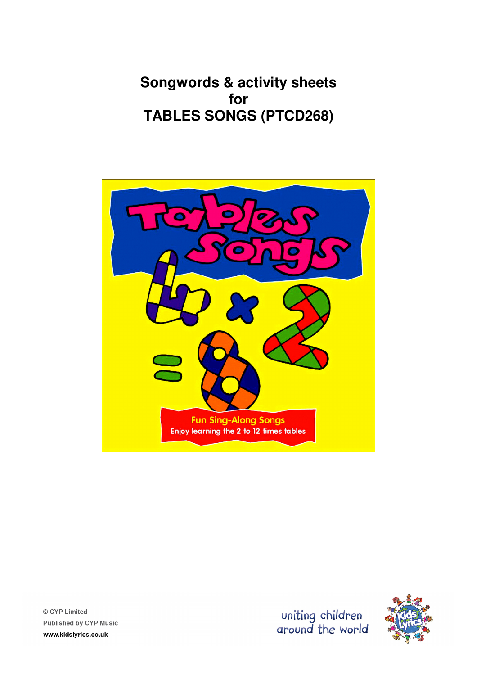**Songwords & activity sheets for TABLES SONGS (PTCD268)** 





© CYP Limited **Published by CYP Music** www.kidslyrics.co.uk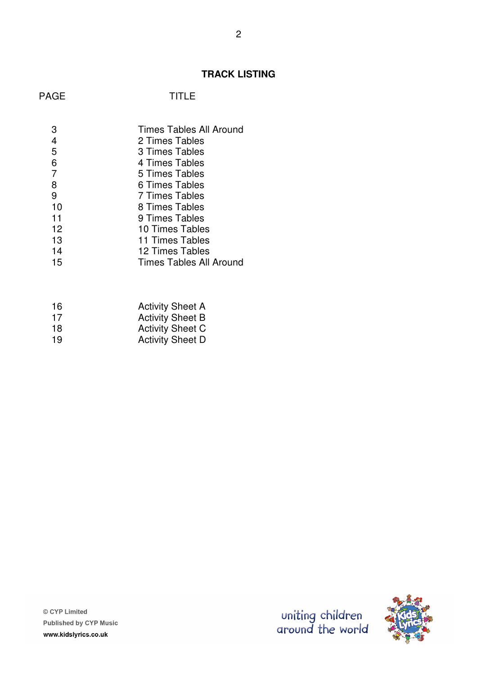### **TRACK LISTING**

### **TITLE**

|                | <b>Times Tables All Around</b> |
|----------------|--------------------------------|
| 4              | 2 Times Tables                 |
| 5              | 3 Times Tables                 |
| 6              | 4 Times Tables                 |
| $\overline{7}$ | 5 Times Tables                 |
| 8              | 6 Times Tables                 |
| 9              | 7 Times Tables                 |
| 10             | 8 Times Tables                 |
| 11             | 9 Times Tables                 |
| 12             | 10 Times Tables                |
| 13             | 11 Times Tables                |
| 14             | 12 Times Tables                |
| 15             | Times Tables All Around        |
|                |                                |

| 16 | <b>Activity Sheet A</b> |
|----|-------------------------|
| 17 | <b>Activity Sheet B</b> |
| 18 | <b>Activity Sheet C</b> |
| 19 | <b>Activity Sheet D</b> |
|    |                         |

© CYP Limited Published by CYP Music www.kidslyrics.co.uk

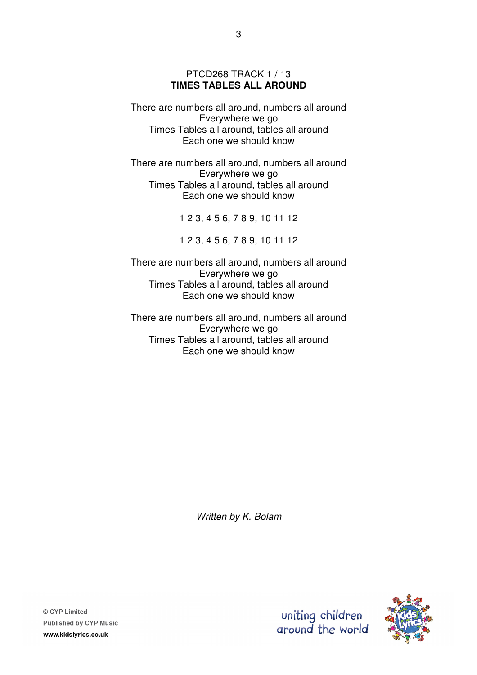#### PTCD268 TRACK 1 / 13 **TIMES TABLES ALL AROUND**

There are numbers all around, numbers all around Everywhere we go Times Tables all around, tables all around Each one we should know

There are numbers all around, numbers all around Everywhere we go Times Tables all around, tables all around Each one we should know

1 2 3, 4 5 6, 7 8 9, 10 11 12

1 2 3, 4 5 6, 7 8 9, 10 11 12

There are numbers all around, numbers all around Everywhere we go Times Tables all around, tables all around Each one we should know

There are numbers all around, numbers all around Everywhere we go Times Tables all around, tables all around Each one we should know

Written by K. Bolam

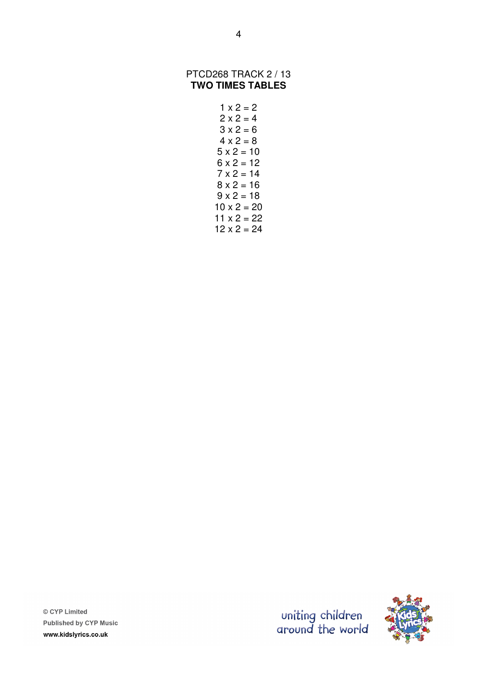#### PTCD268 TRACK 2 / 13 **TWO TIMES TABLES**

```
1 \times 2 = 22 \times 2 = 43 \times 2 = 64 \times 2 = 85 \times 2 = 106 \times 2 = 127 \times 2 = 148 \times 2 = 169 \times 2 = 1810 \times 2 = 2011 \times 2 = 2212 \times 2 = 24
```
© CYP Limited **Published by CYP Music** www.kidslyrics.co.uk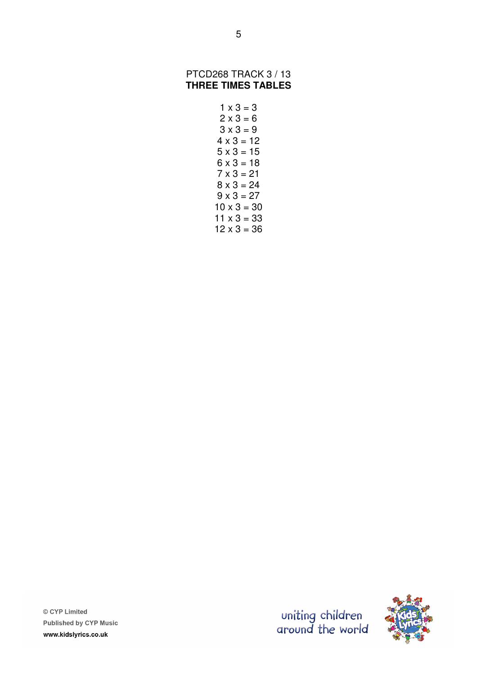#### PTCD268 TRACK 3 / 13 **THREE TIMES TABLES**

 $1 \times 3 = 3$  $2 \times 3 = 6$  $3 \times 3 = 9$  $4 \times 3 = 12$  $5 \times 3 = 15$  $6 \times 3 = 18$  $7 \times 3 = 21$  $8 \times 3 = 24$  $9 \times 3 = 27$  $10 \times 3 = 30$  $11 \times 3 = 33$  $12 \times 3 = 36$ 



© CYP Limited **Published by CYP Music** www.kidslyrics.co.uk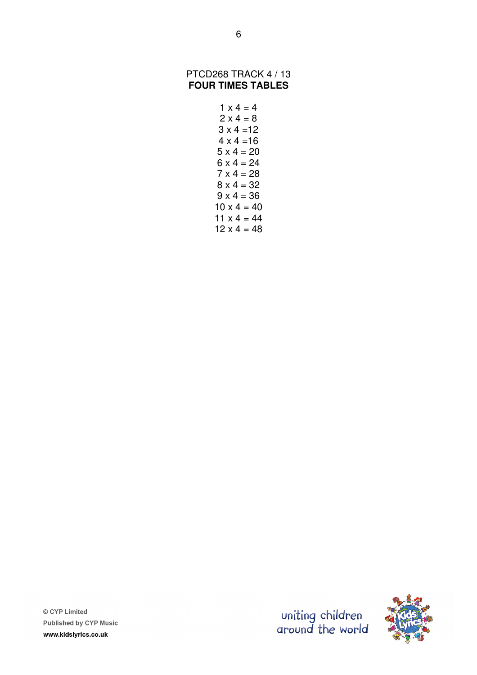#### PTCD268 TRACK 4 / 13 **FOUR TIMES TABLES**

 $1 \times 4 = 4$  $2 \times 4 = 8$  $3 \times 4 = 12$  $4 \times 4 = 16$  $5 \times 4 = 20$  $6 \times 4 = 24$  $7 \times 4 = 28$  $8 \times 4 = 32$  $9 \times 4 = 36$  $10 \times 4 = 40$  $11 \times 4 = 44$  $12 \times 4 = 48$ 

uniting children<br>around the world

© CYP Limited **Published by CYP Music** www.kidslyrics.co.uk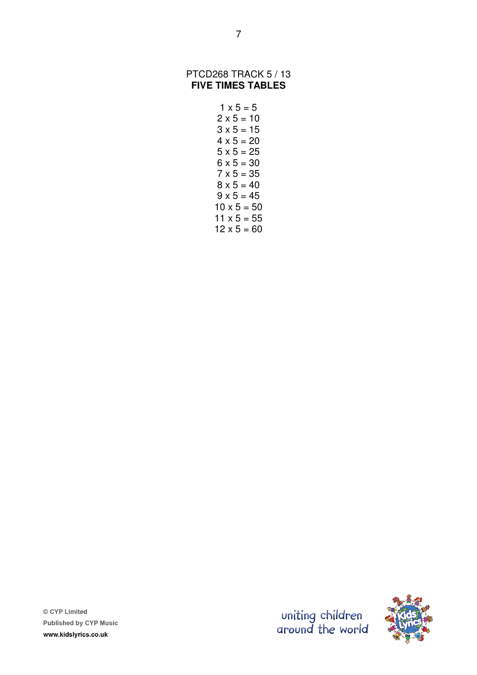#### PTCD268 TRACK 5 / 13 **FIVE TIMES TABLES**

7

| $1 \times 5 = 5$   |
|--------------------|
| $2 \times 5 = 10$  |
| $3 \times 5 = 15$  |
| $4 \times 5 = 20$  |
| $5 \times 5 = 25$  |
| $6 \times 5 = 30$  |
| $7 \times 5 = 35$  |
| $8 \times 5 = 40$  |
| $9 \times 5 = 45$  |
| $10 \times 5 = 50$ |
| $11 \times 5 = 55$ |
| $12 \times 5 = 60$ |

© CYP Limited Published by CYP Music www.kidslyrics.co.uk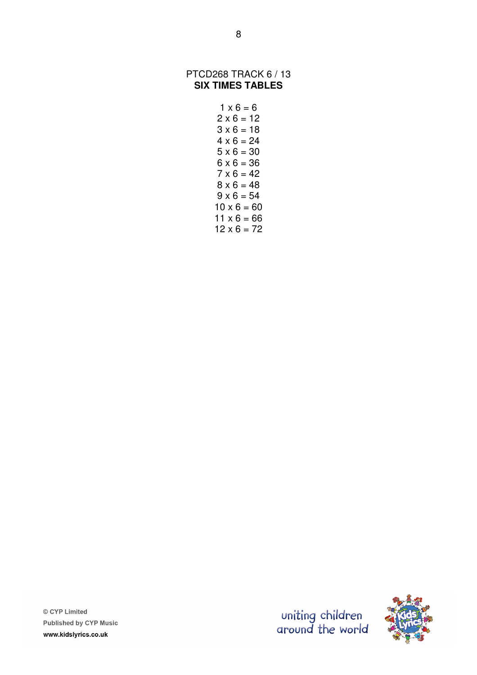#### PTCD268 TRACK 6 / 13 **SIX TIMES TABLES**

| $1 \times 6 = 6$   |
|--------------------|
| $2 \times 6 = 12$  |
| $3 \times 6 = 18$  |
| $4 \times 6 = 24$  |
| $5 \times 6 = 30$  |
| $6 \times 6 = 36$  |
| $7 \times 6 = 42$  |
| $8 \times 6 = 48$  |
| $9 \times 6 = 54$  |
| $10 \times 6 = 60$ |
| $11 \times 6 = 66$ |
| $12 \times 6 = 72$ |

© CYP Limited Published by CYP Music www.kidslyrics.co.uk

uniting children<br>around the world

8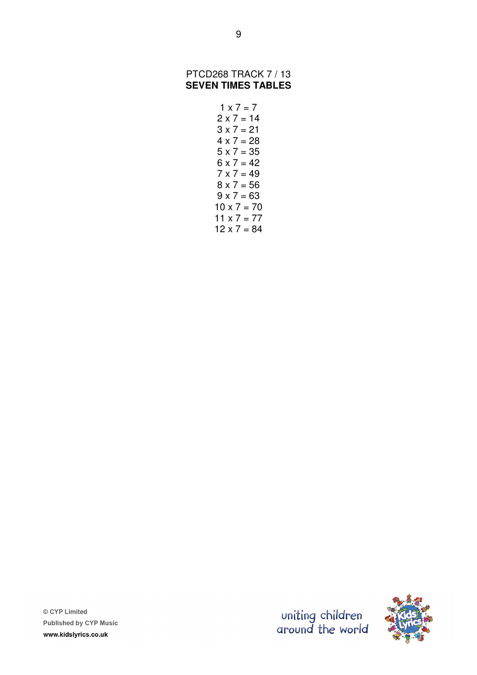#### PTCD268 TRACK 7 / 13 **SEVEN TIMES TABLES**

$$
1 \times 7 = 7
$$
  
2 x 7 = 14  
3 x 7 = 21  
4 x 7 = 28  
5 x 7 = 42  
6 x 7 = 49  
7 x 7 = 56  
9 x 7 = 63  
9 x 7 = 70  
10 x 7 = 77  
11 x 7 = 77  
12 x 7 = 84

© CYP Limited Published by CYP Music www.kidslyrics.co.uk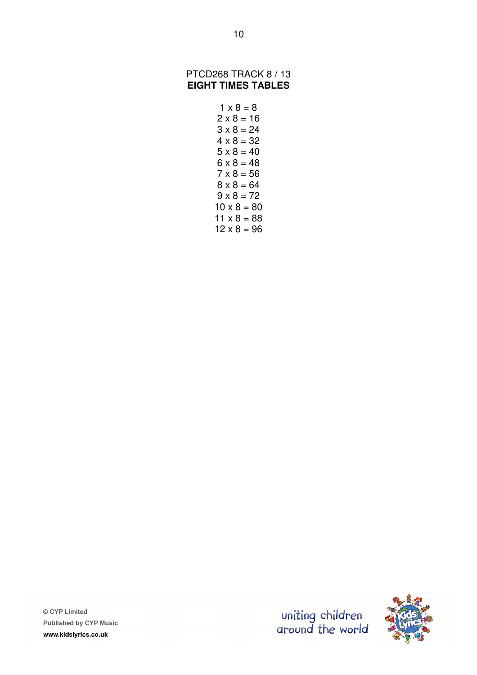#### PTCD268 TRACK 8 / 13 **EIGHT TIMES TABLES**

```
1 \times 8 = 82 \times 8 = 163 \times 8 = 244 \times 8 = 325 \times 8 = 406 \times 8 = 487 \times 8 = 568 \times 8 = 649 \times 8 = 7210 \times 8 = 8011 \times 8 = 8812 \times 8 = 96
```
© CYP Limited **Published by CYP Music** www.kidslyrics.co.uk

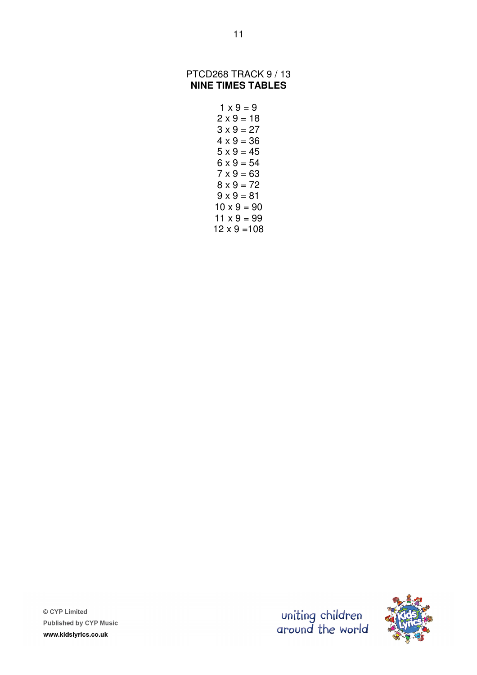#### PTCD268 TRACK 9 / 13 **NINE TIMES TABLES**

```
1 \times 9 = 92 \times 9 = 183 \times 9 = 274 \times 9 = 365 \times 9 = 456 \times 9 = 547 \times 9 = 638 \times 9 = 729 \times 9 = 8110 \times 9 = 9011 \times 9 = 9912 \times 9 = 108
```




© CYP Limited **Published by CYP Music** www.kidslyrics.co.uk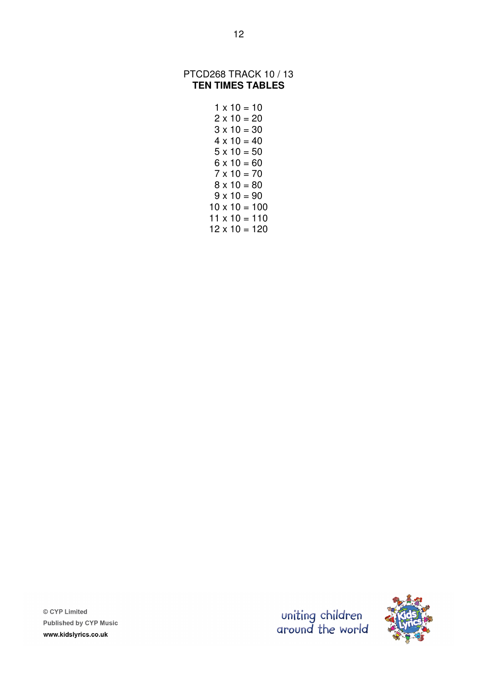#### PTCD268 TRACK 10 / 13 **TEN TIMES TABLES**

 $1 \times 10 = 10$  $2 \times 10 = 20$  $3 \times 10 = 30$  $4 \times 10 = 40$  $5 \times 10 = 50$  $6 \times 10 = 60$  $7 \times 10 = 70$  $8 \times 10 = 80$  $9 \times 10 = 90$  $10 \times 10 = 100$  $11 \times 10 = 110$  $12 \times 10 = 120$ 



© CYP Limited **Published by CYP Music** www.kidslyrics.co.uk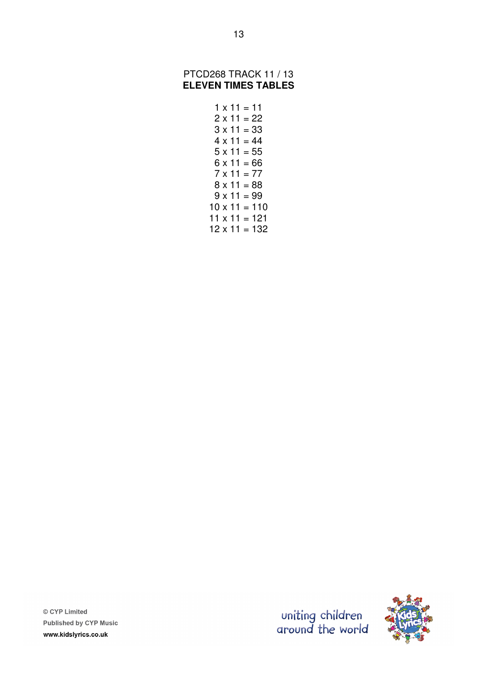#### PTCD268 TRACK 11 / 13 **ELEVEN TIMES TABLES**

 $1 \times 11 = 11$  $2 \times 11 = 22$  $3 \times 11 = 33$  $4 \times 11 = 44$  $5 \times 11 = 55$  $6 \times 11 = 66$  $7 \times 11 = 77$  $8 \times 11 = 88$  $9 \times 11 = 99$  $10 \times 11 = 110$  $11 \times 11 = 121$  $12 \times 11 = 132$ 



© CYP Limited **Published by CYP Music** www.kidslyrics.co.uk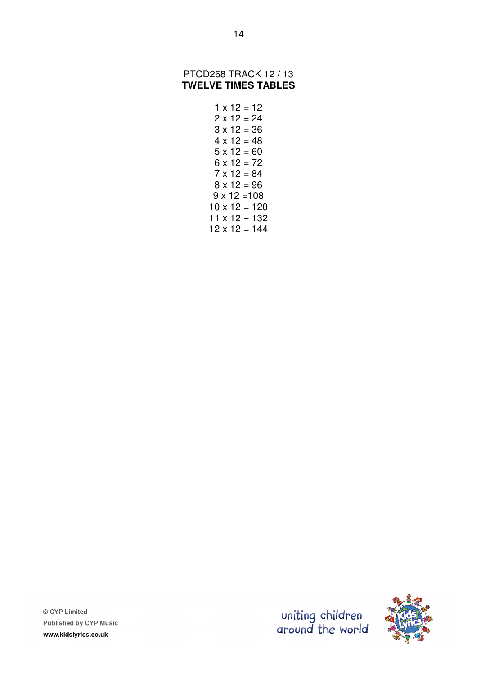#### PTCD268 TRACK 12 / 13 **TWELVE TIMES TABLES**

 $1 \times 12 = 12$  $2 \times 12 = 24$  $3 \times 12 = 36$  $4 \times 12 = 48$  $5 \times 12 = 60$  $6 \times 12 = 72$  $7 \times 12 = 84$  $8 \times 12 = 96$  $9 \times 12 = 108$  $10 \times 12 = 120$  $11 \times 12 = 132$  $12 \times 12 = 144$ 



© CYP Limited **Published by CYP Music** www.kidslyrics.co.uk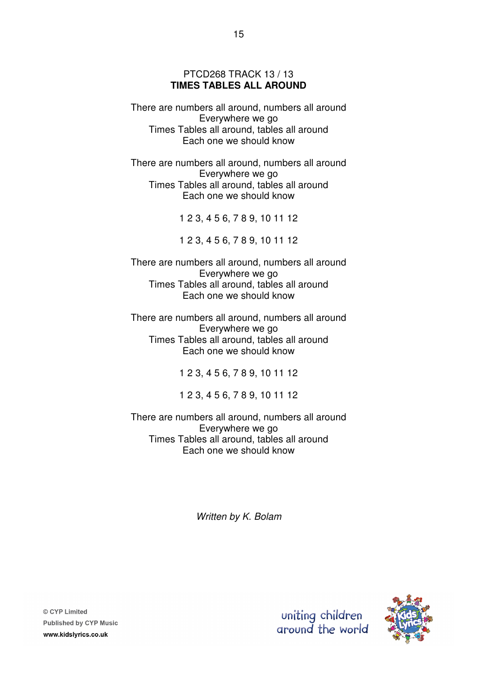#### PTCD268 TRACK 13 / 13 **TIMES TABLES ALL AROUND**

There are numbers all around, numbers all around Everywhere we go Times Tables all around, tables all around Each one we should know

There are numbers all around, numbers all around Everywhere we go Times Tables all around, tables all around Each one we should know

1 2 3, 4 5 6, 7 8 9, 10 11 12

1 2 3, 4 5 6, 7 8 9, 10 11 12

There are numbers all around, numbers all around Everywhere we go Times Tables all around, tables all around Each one we should know

There are numbers all around, numbers all around Everywhere we go Times Tables all around, tables all around Each one we should know

1 2 3, 4 5 6, 7 8 9, 10 11 12

1 2 3, 4 5 6, 7 8 9, 10 11 12

There are numbers all around, numbers all around Everywhere we go Times Tables all around, tables all around Each one we should know

Written by K. Bolam

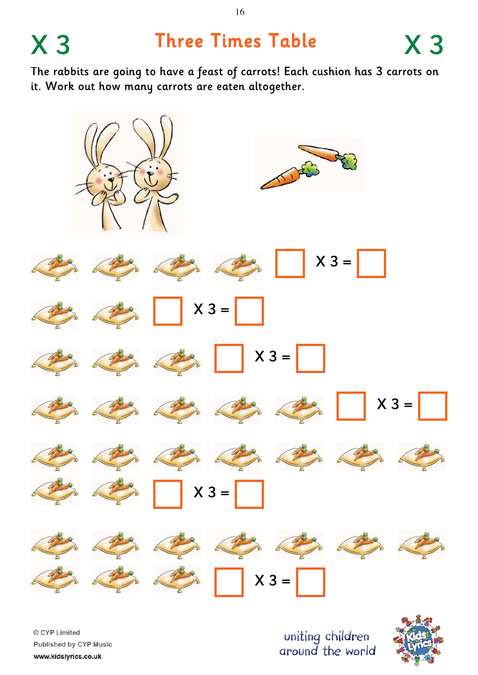# X 3 Three Times Table X 3

The rabbits are going to have a feast of carrots! Each cushion has 3 carrots on it. Work out how many carrots are eaten altogether.



© CYP Limited Published by CYP Music www.kidslyrics.co.uk

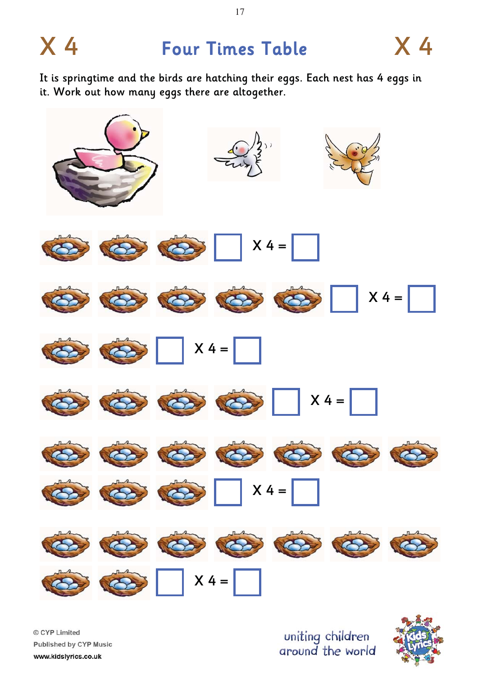### X 4 Four Times Table X 4

It is springtime and the birds are hatching their eggs. Each nest has 4 eggs in it. Work out how many eggs there are altogether.



© CYP Limited Published by CYP Music www.kidslyrics.co.uk

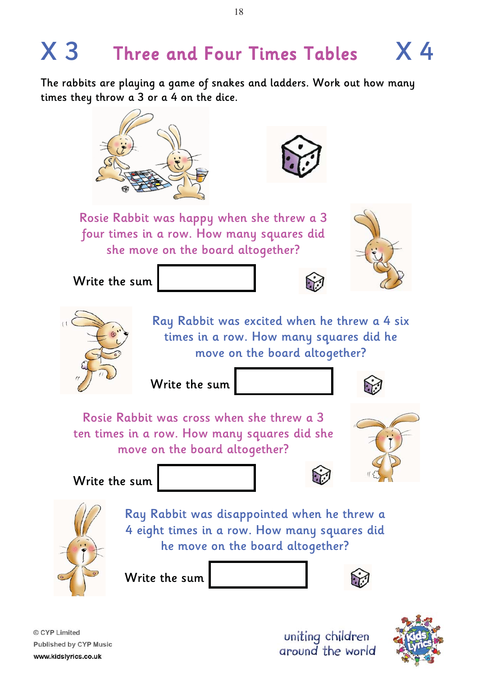## $X$  3 Three and Four Times Tables  $X$  4

The rabbits are playing a game of snakes and ladders. Work out how many times they throw a 3 or a 4 on the dice.





Rosie Rabbit was happy when she threw a 3 four times in a row. How many squares did she move on the board altogether?





Write the sum

Ray Rabbit was excited when he threw a 4 six times in a row. How many squares did he move on the board altogether?

Write the sum



Rosie Rabbit was cross when she threw a 3 ten times in a row. How many squares did she move on the board altogether?



Write the sum





Ray Rabbit was disappointed when he threw a 4 eight times in a row. How many squares did he move on the board altogether?

Write the sum



© CYP Limited **Published by CYP Music** www.kidslyrics.co.uk

uniting children around the world



18